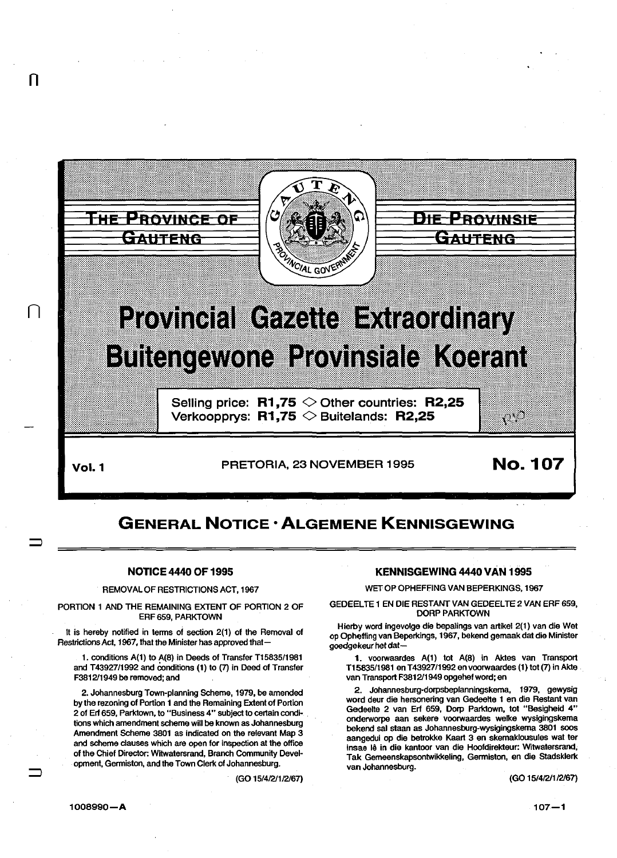

n

 $\Box$ 

 $\mathsf{Vol}.1$  PRETORIA, 23 NOVEMBER 1995 **No. 107** 

## GENERAL NOTICE· ALGEMENE KENNISGEWING

## NOTICE 4440 OF 1995

REMOVAL OF RESTRICTIONS ACT, 1967

PORTION 1 AND THE REMAINING EXTENT OF PORTION 2 OF ERF 659, PARKTOWN

It is hereby notified in terms of section 2(1) of the Removal of Restrictions Act, 1967, that the Minister has approved that-

1. conditions A(1) to A(B) in Deeds of Transfer T15835/1981 and T43927/1992 and conditions (1) to (7) in Deed of Transfer F3812/1949 be removed; and

2. Johannesburg Town-planning Scheme, 1979, be amended by the rezoning of Portion 1 and the Remaining Extent of Portion 2 of Erf 659, Parklown, to "Business 4" subject to certain condi- . lions which amendment scheme will be known as Johannesburg Amendment Scheme 3801 as indicated on the relevant Map 3 and scheme clauses which are open for inspection at the office of the Chief Director: Witwatersrand, Branch Community Development, Germiston, and the Town Clerk of Johannesburg.

(GO 15/4/2/1/2/67)

## KENNISGEWING 4440 VAN 1995

WET OP OPHEFFING VAN BEPERKINGS, 1967

GEDEELTE 1 EN DIE RESTANT VAN GEDEELTE 2 VAN ERF 659, OORP PARKTOWN

Hierby word ingevolge die bepalings van artikel 2(1) van die Wet op Opheffing van Beperkings, 1967, bekend gemaak dat die Minister goedgekeur het dat-

1. voorwaardes A(1) tot A(8) in Aktes van Transport T15835/1981 en T 43927/1992 en voorwaardes (1) tot (7) in Akte van Transport F3812/1949 opgehef word; en

2. Johannesburg-dorpsbeplanningskema, 1979, gewysig word deur die hersonering van Gedeelte 1 en die Restant van Gedeelte 2 van Erf 659, Dorp Parklown, tot "Besigheid 4" onderworpe aan sekere voorwaardes welke wysigingskema bekend sal staan as Johannesburg-wysigingskema 3801 soos aangedui op die betrokke Kaart 3 en skemaklousules wat ter insae lê in die kantoor van die Hoofdirekteur: Witwatersrand, Tak Gemeenskapsontwikkeling, Germiston, en die Stadsklerk van Johannesburg.

(GO 15/4/2/1/2/67)